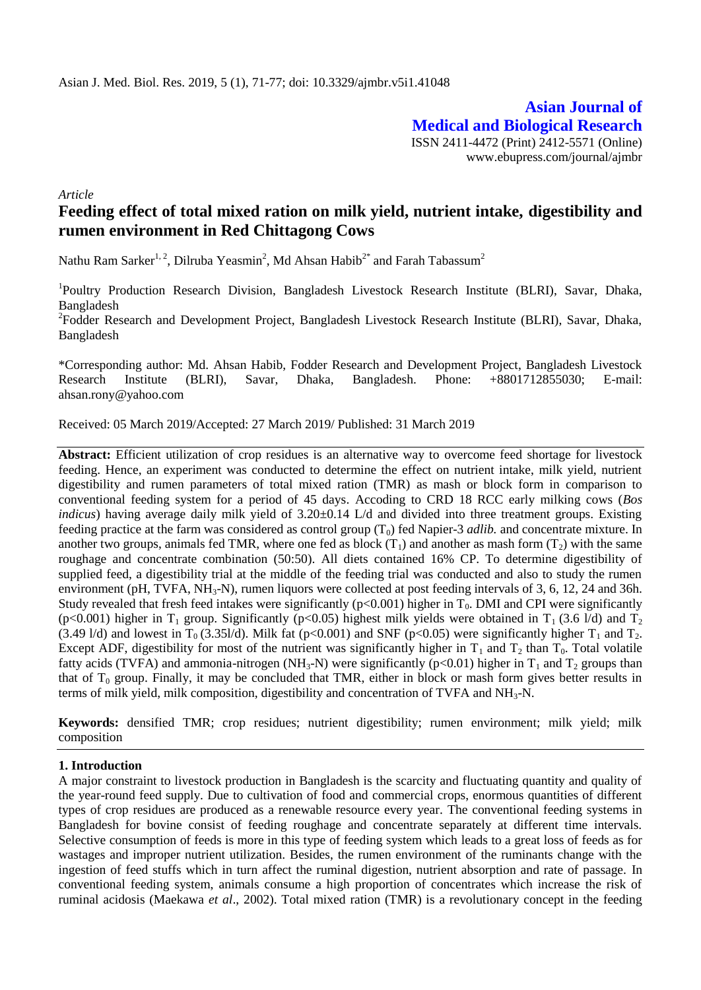**Asian Journal of Medical and Biological Research** ISSN 2411-4472 (Print) 2412-5571 (Online) www.ebupress.com/journal/ajmbr

*Article*

# **Feeding effect of total mixed ration on milk yield, nutrient intake, digestibility and rumen environment in Red Chittagong Cows**

Nathu Ram Sarker $^{1,\,2}$ , Dilruba Yeasmin $^2$ , Md Ahsan Habib $^{2^*}$  and Farah Tabassum $^2$ 

<sup>1</sup>Poultry Production Research Division, Bangladesh Livestock Research Institute (BLRI), Savar, Dhaka, Bangladesh

<sup>2</sup>Fodder Research and Development Project, Bangladesh Livestock Research Institute (BLRI), Savar, Dhaka, Bangladesh

\*Corresponding author: Md. Ahsan Habib, Fodder Research and Development Project, Bangladesh Livestock Research Institute (BLRI), Savar, Dhaka, Bangladesh. Phone: +8801712855030; E-mail: [ahsan.rony@yahoo.com](mailto:ahsan.rony@yahoo.com)

Received: 05 March 2019/Accepted: 27 March 2019/ Published: 31 March 2019

**Abstract:** Efficient utilization of crop residues is an alternative way to overcome feed shortage for livestock feeding. Hence, an experiment was conducted to determine the effect on nutrient intake, milk yield, nutrient digestibility and rumen parameters of total mixed ration (TMR) as mash or block form in comparison to conventional feeding system for a period of 45 days. Accoding to CRD 18 RCC early milking cows (*Bos indicus*) having average daily milk yield of 3.20±0.14 L/d and divided into three treatment groups. Existing feeding practice at the farm was considered as control group  $(T_0)$  fed Napier-3 *adlib*. and concentrate mixture. In another two groups, animals fed TMR, where one fed as block  $(T_1)$  and another as mash form  $(T_2)$  with the same roughage and concentrate combination (50:50). All diets contained 16% CP. To determine digestibility of supplied feed, a digestibility trial at the middle of the feeding trial was conducted and also to study the rumen environment (pH, TVFA,  $NH_3-N$ ), rumen liquors were collected at post feeding intervals of 3, 6, 12, 24 and 36h. Study revealed that fresh feed intakes were significantly ( $p<0.001$ ) higher in T<sub>0</sub>. DMI and CPI were significantly (p<0.001) higher in T<sub>1</sub> group. Significantly (p<0.05) highest milk yields were obtained in T<sub>1</sub> (3.6 l/d) and T<sub>2</sub> (3.49 l/d) and lowest in T<sub>0</sub> (3.351/d). Milk fat (p<0.001) and SNF (p<0.05) were significantly higher T<sub>1</sub> and T<sub>2</sub>. Except ADF, digestibility for most of the nutrient was significantly higher in  $T_1$  and  $T_2$  than  $T_0$ . Total volatile fatty acids (TVFA) and ammonia-nitrogen (NH<sub>3</sub>-N) were significantly (p<0.01) higher in  $T_1$  and  $T_2$  groups than that of  $T_0$  group. Finally, it may be concluded that TMR, either in block or mash form gives better results in terms of milk yield, milk composition, digestibility and concentration of TVFA and NH<sub>3</sub>-N.

**Keywords:** densified TMR; crop residues; nutrient digestibility; rumen environment; milk yield; milk composition

### **1. Introduction**

A major constraint to livestock production in Bangladesh is the scarcity and fluctuating quantity and quality of the year-round feed supply. Due to cultivation of food and commercial crops, enormous quantities of different types of crop residues are produced as a renewable resource every year. The conventional feeding systems in Bangladesh for bovine consist of feeding roughage and concentrate separately at different time intervals. Selective consumption of feeds is more in this type of feeding system which leads to a great loss of feeds as for wastages and improper nutrient utilization. Besides, the rumen environment of the ruminants change with the ingestion of feed stuffs which in turn affect the ruminal digestion, nutrient absorption and rate of passage. In conventional feeding system, animals consume a high proportion of concentrates which increase the risk of ruminal acidosis (Maekawa *et al*., 2002). Total mixed ration (TMR) is a revolutionary concept in the feeding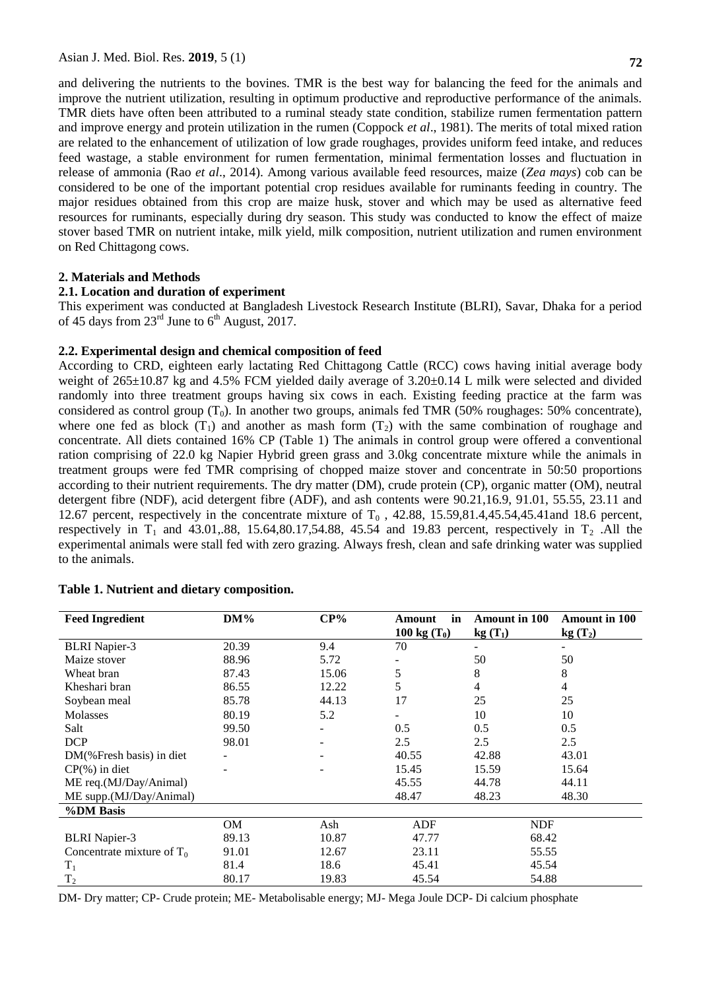and delivering the nutrients to the bovines. TMR is the best way for balancing the feed for the animals and improve the nutrient utilization, resulting in optimum productive and reproductive performance of the animals. TMR diets have often been attributed to a ruminal steady state condition, stabilize rumen fermentation pattern and improve energy and protein utilization in the rumen (Coppock *et al*., 1981). The merits of total mixed ration are related to the enhancement of utilization of low grade roughages, provides uniform feed intake, and reduces feed wastage, a stable environment for rumen fermentation, minimal fermentation losses and fluctuation in release of ammonia (Rao *et al*., 2014). Among various available feed resources, maize (*Zea mays*) cob can be considered to be one of the important potential crop residues available for ruminants feeding in country. The major residues obtained from this crop are maize husk, stover and which may be used as alternative feed resources for ruminants, especially during dry season. This study was conducted to know the effect of maize stover based TMR on nutrient intake, milk yield, milk composition, nutrient utilization and rumen environment on Red Chittagong cows.

#### **2. Materials and Methods**

### **2.1. Location and duration of experiment**

This experiment was conducted at Bangladesh Livestock Research Institute (BLRI), Savar, Dhaka for a period of 45 days from  $23^{\text{rd}}$  June to  $6^{\text{th}}$  August, 2017.

#### **2.2. Experimental design and chemical composition of feed**

According to CRD, eighteen early lactating Red Chittagong Cattle (RCC) cows having initial average body weight of 265±10.87 kg and 4.5% FCM yielded daily average of 3.20±0.14 L milk were selected and divided randomly into three treatment groups having six cows in each. Existing feeding practice at the farm was considered as control group  $(T_0)$ . In another two groups, animals fed TMR (50% roughages: 50% concentrate), where one fed as block  $(T_1)$  and another as mash form  $(T_2)$  with the same combination of roughage and concentrate. All diets contained 16% CP (Table 1) The animals in control group were offered a conventional ration comprising of 22.0 kg Napier Hybrid green grass and 3.0kg concentrate mixture while the animals in treatment groups were fed TMR comprising of chopped maize stover and concentrate in 50:50 proportions according to their nutrient requirements. The dry matter (DM), crude protein (CP), organic matter (OM), neutral detergent fibre (NDF), acid detergent fibre (ADF), and ash contents were 90.21,16.9, 91.01, 55.55, 23.11 and 12.67 percent, respectively in the concentrate mixture of  $T_0$ , 42.88, 15.59,81.4,45.54,45.41and 18.6 percent, respectively in  $T_1$  and 43.01,.88, 15.64,80.17,54.88, 45.54 and 19.83 percent, respectively in  $T_2$ . All the experimental animals were stall fed with zero grazing. Always fresh, clean and safe drinking water was supplied to the animals.

| <b>Feed Ingredient</b>       | $DM\%$    | CP%   | in<br>Amount   | <b>Amount in 100</b> | <b>Amount in 100</b>     |
|------------------------------|-----------|-------|----------------|----------------------|--------------------------|
|                              |           |       | 100 kg $(T_0)$ | $kg(T_1)$            | $kg(T_2)$                |
| <b>BLRI</b> Napier-3         | 20.39     | 9.4   | 70             |                      | $\overline{\phantom{a}}$ |
| Maize stover                 | 88.96     | 5.72  |                | 50                   | 50                       |
| Wheat bran                   | 87.43     | 15.06 | 5              | 8                    | 8                        |
| Kheshari bran                | 86.55     | 12.22 | 5              | 4                    | $\overline{4}$           |
| Soybean meal                 | 85.78     | 44.13 | 17             | 25                   | 25                       |
| Molasses                     | 80.19     | 5.2   |                | 10                   | 10                       |
| Salt                         | 99.50     |       | 0.5            | 0.5                  | 0.5                      |
| <b>DCP</b>                   | 98.01     |       | 2.5            | 2.5                  | 2.5                      |
| DM(%Fresh basis) in diet     |           |       | 40.55          | 42.88                | 43.01                    |
| $CP(% )$ in diet             |           |       | 15.45          | 15.59                | 15.64                    |
| ME req.(MJ/Day/Animal)       |           |       | 45.55          | 44.78                | 44.11                    |
| ME supp.(MJ/Day/Animal)      |           |       | 48.47          | 48.23                | 48.30                    |
| %DM Basis                    |           |       |                |                      |                          |
|                              | <b>OM</b> | Ash   | ADF            | <b>NDF</b>           |                          |
| <b>BLRI</b> Napier-3         | 89.13     | 10.87 | 47.77          | 68.42                |                          |
| Concentrate mixture of $T_0$ | 91.01     | 12.67 | 23.11          | 55.55                |                          |
| $T_1$                        | 81.4      | 18.6  | 45.41          | 45.54                |                          |
| T <sub>2</sub>               | 80.17     | 19.83 | 45.54          | 54.88                |                          |

#### **Table 1. Nutrient and dietary composition.**

DM- Dry matter; CP- Crude protein; ME- Metabolisable energy; MJ- Mega Joule DCP- Di calcium phosphate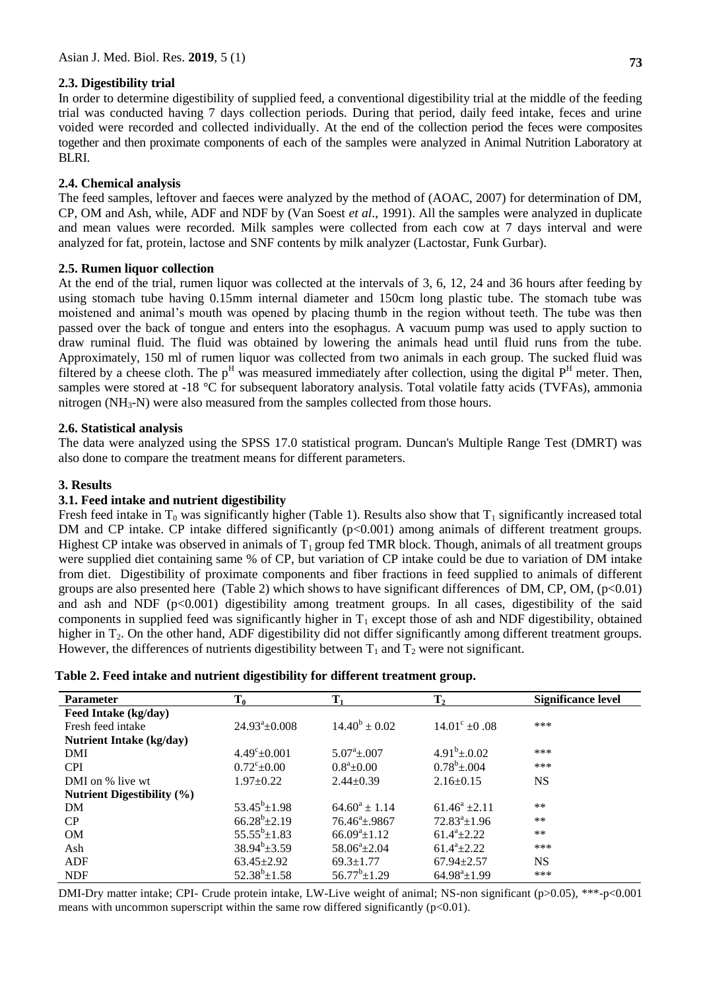# **2.3. Digestibility trial**

In order to determine digestibility of supplied feed, a conventional digestibility trial at the middle of the feeding trial was conducted having 7 days collection periods. During that period, daily feed intake, feces and urine voided were recorded and collected individually. At the end of the collection period the feces were composites together and then proximate components of each of the samples were analyzed in Animal Nutrition Laboratory at

# **2.4. Chemical analysis**

BLRI.

The feed samples, leftover and faeces were analyzed by the method of (AOAC, 2007) for determination of DM, CP, OM and Ash, while, ADF and NDF by (Van Soest *et al*., 1991). All the samples were analyzed in duplicate and mean values were recorded. Milk samples were collected from each cow at 7 days interval and were analyzed for fat, protein, lactose and SNF contents by milk analyzer (Lactostar, Funk Gurbar).

# **2.5. Rumen liquor collection**

At the end of the trial, rumen liquor was collected at the intervals of 3, 6, 12, 24 and 36 hours after feeding by using stomach tube having 0.15mm internal diameter and 150cm long plastic tube. The stomach tube was moistened and animal's mouth was opened by placing thumb in the region without teeth. The tube was then passed over the back of tongue and enters into the esophagus. A vacuum pump was used to apply suction to draw ruminal fluid. The fluid was obtained by lowering the animals head until fluid runs from the tube. Approximately, 150 ml of rumen liquor was collected from two animals in each group. The sucked fluid was filtered by a cheese cloth. The  $p^H$  was measured immediately after collection, using the digital  $P^H$  meter. Then, samples were stored at -18 °C for subsequent laboratory analysis. Total volatile fatty acids (TVFAs), ammonia nitrogen (NH<sub>3</sub>-N) were also measured from the samples collected from those hours.

# **2.6. Statistical analysis**

The data were analyzed using the SPSS 17.0 statistical program. Duncan's Multiple Range Test (DMRT) was also done to compare the treatment means for different parameters.

# **3. Results**

### **3.1. Feed intake and nutrient digestibility**

Fresh feed intake in  $T_0$  was significantly higher (Table 1). Results also show that  $T_1$  significantly increased total DM and CP intake. CP intake differed significantly (p<0.001) among animals of different treatment groups. Highest CP intake was observed in animals of  $T_1$  group fed TMR block. Though, animals of all treatment groups were supplied diet containing same % of CP, but variation of CP intake could be due to variation of DM intake from diet. Digestibility of proximate components and fiber fractions in feed supplied to animals of different groups are also presented here (Table 2) which shows to have significant differences of DM, CP, OM,  $(p<0.01)$ and ash and NDF  $(p<0.001)$  digestibility among treatment groups. In all cases, digestibility of the said components in supplied feed was significantly higher in  $T_1$  except those of ash and NDF digestibility, obtained higher in T<sub>2</sub>. On the other hand, ADF digestibility did not differ significantly among different treatment groups. However, the differences of nutrients digestibility between  $T_1$  and  $T_2$  were not significant.

|  | Table 2. Feed intake and nutrient digestibility for different treatment group. |
|--|--------------------------------------------------------------------------------|
|--|--------------------------------------------------------------------------------|

| <b>Parameter</b>                  | $T_0$                  | $T_{1}$                | T <sub>2</sub>              | <b>Significance level</b> |
|-----------------------------------|------------------------|------------------------|-----------------------------|---------------------------|
| Feed Intake (kg/day)              |                        |                        |                             |                           |
| Fresh feed intake                 | $24.93^{\circ}$ ±0.008 | $14.40^b \pm 0.02$     | $14.01^{\circ}$ ±0.08       | ***                       |
| <b>Nutrient Intake (kg/day)</b>   |                        |                        |                             |                           |
| DMI                               | $4.49^{\circ}$ + 0.001 | $5.07^{\circ}$ + 0.07  | $4.91^b \pm 0.02$           | ***                       |
| <b>CPI</b>                        | $0.72^{\circ}$ + 0.00  | $0.8^a + 0.00$         | $0.78^b \pm 0.004$          | ***                       |
| DMI on % live wt                  | $1.97 \pm 0.22$        | $2.44 \pm 0.39$        | $2.16 \pm 0.15$             | <b>NS</b>                 |
| <b>Nutrient Digestibility (%)</b> |                        |                        |                             |                           |
| DM                                | $53.45^b \pm 1.98$     | $64.60^a \pm 1.14$     | $61.46^a \pm 2.11$          | $***$                     |
| CP                                | $66.28^{b} \pm 2.19$   | $76.46^{\circ}$ + 9867 | $72.83^{\circ}+1.96$        | $***$                     |
| <b>OM</b>                         | $55.55^b \pm 1.83$     | $66.09^{\circ}+1.12$   | $61.4^a + 2.22$             | $***$                     |
| Ash                               | $38.94^b \pm 3.59$     | $58.06^{\circ}+2.04$   | $61.4^a + 2.22$             | ***                       |
| ADF                               | $63.45 \pm 2.92$       | $69.3 \pm 1.77$        | $67.94 + 2.57$              | <b>NS</b>                 |
| <b>NDF</b>                        | $52.38^b \pm 1.58$     | $56.77^b \pm 1.29$     | $64.98^{\mathrm{a}} + 1.99$ | ***                       |

DMI-Dry matter intake; CPI- Crude protein intake, LW-Live weight of animal; NS-non significant (p>0.05), \*\*\*-p<0.001 means with uncommon superscript within the same row differed significantly  $(p<0.01)$ .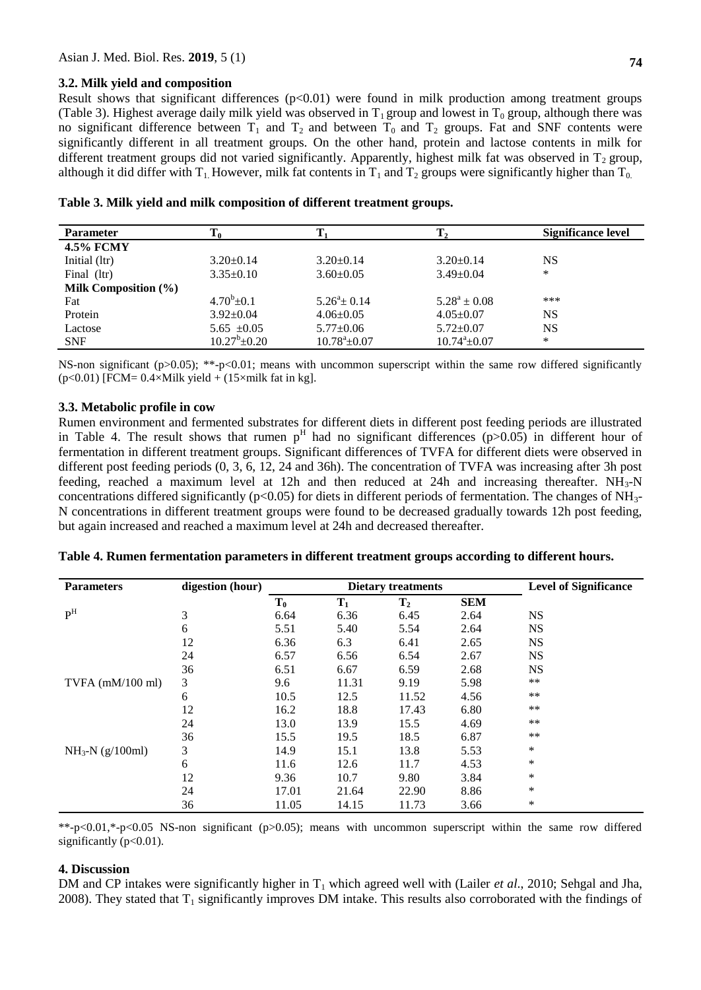#### **3.2. Milk yield and composition**

Result shows that significant differences  $(p<0.01)$  were found in milk production among treatment groups (Table 3). Highest average daily milk yield was observed in  $T_1$  group and lowest in  $T_0$  group, although there was no significant difference between  $T_1$  and  $T_2$  and between  $T_0$  and  $T_2$  groups. Fat and SNF contents were significantly different in all treatment groups. On the other hand, protein and lactose contents in milk for different treatment groups did not varied significantly. Apparently, highest milk fat was observed in  $T_2$  group, although it did differ with  $T_1$ . However, milk fat contents in  $T_1$  and  $T_2$  groups were significantly higher than  $T_0$ .

| <b>Parameter</b>     | 10                 |                       |                       | <b>Significance level</b> |
|----------------------|--------------------|-----------------------|-----------------------|---------------------------|
| <b>4.5% FCMY</b>     |                    |                       |                       |                           |
| Initial (ltr)        | $3.20 \pm 0.14$    | $3.20 \pm 0.14$       | $3.20 \pm 0.14$       | <b>NS</b>                 |
| Final (ltr)          | $3.35\pm0.10$      | $3.60 \pm 0.05$       | $3.49 \pm 0.04$       | *                         |
| Milk Composition (%) |                    |                       |                       |                           |
| Fat                  | $4.70^b \pm 0.1$   | $5.26^{\circ}$ + 0.14 | $5.28^a \pm 0.08$     | ***                       |
| Protein              | $3.92 \pm 0.04$    | $4.06 \pm 0.05$       | $4.05 \pm 0.07$       | <b>NS</b>                 |
| Lactose              | $5.65 \pm 0.05$    | $5.77 \pm 0.06$       | $5.72 \pm 0.07$       | <b>NS</b>                 |
| <b>SNF</b>           | $10.27^b \pm 0.20$ | $10.78^{\circ}$ ±0.07 | $10.74^{\circ}$ ±0.07 | *                         |

|  | Table 3. Milk yield and milk composition of different treatment groups. |  |  |
|--|-------------------------------------------------------------------------|--|--|
|  |                                                                         |  |  |

NS-non significant ( $p>0.05$ ); \*\*-p<0.01; means with uncommon superscript within the same row differed significantly ( $p<0.01$ ) [FCM=  $0.4\times$ Milk yield + ( $15\times$ milk fat in kg].

#### **3.3. Metabolic profile in cow**

Rumen environment and fermented substrates for different diets in different post feeding periods are illustrated in Table 4. The result shows that rumen  $p<sup>H</sup>$  had no significant differences (p>0.05) in different hour of fermentation in different treatment groups. Significant differences of TVFA for different diets were observed in different post feeding periods (0, 3, 6, 12, 24 and 36h). The concentration of TVFA was increasing after 3h post feeding, reached a maximum level at 12h and then reduced at 24h and increasing thereafter.  $NH_3-N$ concentrations differed significantly ( $p<0.05$ ) for diets in different periods of fermentation. The changes of NH<sub>3</sub>-N concentrations in different treatment groups were found to be decreased gradually towards 12h post feeding, but again increased and reached a maximum level at 24h and decreased thereafter.

| <b>Parameters</b>          | digestion (hour) |       | <b>Dietary treatments</b> |                | <b>Level of Significance</b> |           |
|----------------------------|------------------|-------|---------------------------|----------------|------------------------------|-----------|
|                            |                  | $T_0$ | $T_1$                     | $\mathbf{T}_2$ | <b>SEM</b>                   |           |
| P <sup>H</sup>             | 3                | 6.64  | 6.36                      | 6.45           | 2.64                         | <b>NS</b> |
|                            | 6                | 5.51  | 5.40                      | 5.54           | 2.64                         | <b>NS</b> |
|                            | 12               | 6.36  | 6.3                       | 6.41           | 2.65                         | <b>NS</b> |
|                            | 24               | 6.57  | 6.56                      | 6.54           | 2.67                         | <b>NS</b> |
|                            | 36               | 6.51  | 6.67                      | 6.59           | 2.68                         | <b>NS</b> |
| TVFA $(mM/100 \text{ ml})$ | 3                | 9.6   | 11.31                     | 9.19           | 5.98                         | $***$     |
|                            | 6                | 10.5  | 12.5                      | 11.52          | 4.56                         | $***$     |
|                            | 12               | 16.2  | 18.8                      | 17.43          | 6.80                         | $***$     |
|                            | 24               | 13.0  | 13.9                      | 15.5           | 4.69                         | $***$     |
|                            | 36               | 15.5  | 19.5                      | 18.5           | 6.87                         | $***$     |
| $NH_3-N$ (g/100ml)         | 3                | 14.9  | 15.1                      | 13.8           | 5.53                         | *         |
|                            | 6                | 11.6  | 12.6                      | 11.7           | 4.53                         | *         |
|                            | 12               | 9.36  | 10.7                      | 9.80           | 3.84                         | *         |
|                            | 24               | 17.01 | 21.64                     | 22.90          | 8.86                         | $\ast$    |
|                            | 36               | 11.05 | 14.15                     | 11.73          | 3.66                         | *         |

|  |  |  | Table 4. Rumen fermentation parameters in different treatment groups according to different hours. |
|--|--|--|----------------------------------------------------------------------------------------------------|
|  |  |  |                                                                                                    |

\*\*-p<0.01,\*-p<0.05 NS-non significant (p>0.05); means with uncommon superscript within the same row differed significantly (p<0.01).

#### **4. Discussion**

DM and CP intakes were significantly higher in T<sub>1</sub> which agreed well with (Lailer *et al.*, 2010; Sehgal and Jha, 2008). They stated that  $T_1$  significantly improves DM intake. This results also corroborated with the findings of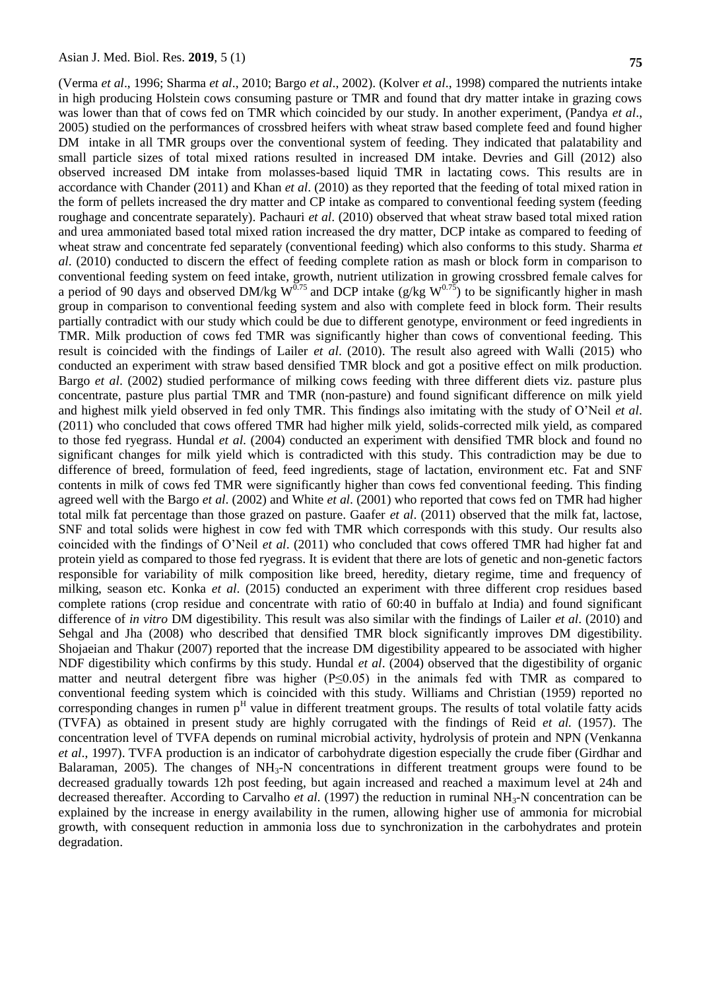(Verma *et al*., 1996; Sharma *et al*., 2010; Bargo *et al*., 2002). (Kolver *et al*., 1998) compared the nutrients intake in high producing Holstein cows consuming pasture or TMR and found that dry matter intake in grazing cows was lower than that of cows fed on TMR which coincided by our study. In another experiment, (Pandya *et al*., 2005) studied on the performances of crossbred heifers with wheat straw based complete feed and found higher DM intake in all TMR groups over the conventional system of feeding. They indicated that palatability and small particle sizes of total mixed rations resulted in increased DM intake. Devries and Gill (2012) also observed increased DM intake from molasses-based liquid TMR in lactating cows. This results are in accordance with Chander (2011) and Khan *et al*. (2010) as they reported that the feeding of total mixed ration in the form of pellets increased the dry matter and CP intake as compared to conventional feeding system (feeding roughage and concentrate separately). Pachauri *et al*. (2010) observed that wheat straw based total mixed ration and urea ammoniated based total mixed ration increased the dry matter, DCP intake as compared to feeding of wheat straw and concentrate fed separately (conventional feeding) which also conforms to this study. Sharma *et al*. (2010) conducted to discern the effect of feeding complete ration as mash or block form in comparison to conventional feeding system on feed intake, growth, nutrient utilization in growing crossbred female calves for a period of 90 days and observed DM/kg W<sup>0.75</sup> and DCP intake (g/kg W<sup>0.75</sup>) to be significantly higher in mash group in comparison to conventional feeding system and also with complete feed in block form. Their results partially contradict with our study which could be due to different genotype, environment or feed ingredients in TMR. Milk production of cows fed TMR was significantly higher than cows of conventional feeding. This result is coincided with the findings of Lailer *et al*. (2010). The result also agreed with Walli (2015) who conducted an experiment with straw based densified TMR block and got a positive effect on milk production. Bargo *et al*. (2002) studied performance of milking cows feeding with three different diets viz. pasture plus concentrate, pasture plus partial TMR and TMR (non-pasture) and found significant difference on milk yield and highest milk yield observed in fed only TMR. This findings also imitating with the study of O'Neil *et al*. (2011) who concluded that cows offered TMR had higher milk yield, solids-corrected milk yield, as compared to those fed ryegrass. Hundal *et al*. (2004) conducted an experiment with densified TMR block and found no significant changes for milk yield which is contradicted with this study. This contradiction may be due to difference of breed, formulation of feed, feed ingredients, stage of lactation, environment etc. Fat and SNF contents in milk of cows fed TMR were significantly higher than cows fed conventional feeding. This finding agreed well with the Bargo *et al*. (2002) and White *et al*. (2001) who reported that cows fed on TMR had higher total milk fat percentage than those grazed on pasture. Gaafer *et al*. (2011) observed that the milk fat, lactose, SNF and total solids were highest in cow fed with TMR which corresponds with this study. Our results also coincided with the findings of O'Neil *et al*. (2011) who concluded that cows offered TMR had higher fat and protein yield as compared to those fed ryegrass. It is evident that there are lots of genetic and non-genetic factors responsible for variability of milk composition like breed, heredity, dietary regime, time and frequency of milking, season etc. Konka *et al*. (2015) conducted an experiment with three different crop residues based complete rations (crop residue and concentrate with ratio of 60:40 in buffalo at India) and found significant difference of *in vitro* DM digestibility. This result was also similar with the findings of Lailer *et al*. (2010) and Sehgal and Jha (2008) who described that densified TMR block significantly improves DM digestibility. Shojaeian and Thakur (2007) reported that the increase DM digestibility appeared to be associated with higher NDF digestibility which confirms by this study. Hundal *et al*. (2004) observed that the digestibility of organic matter and neutral detergent fibre was higher  $(P \le 0.05)$  in the animals fed with TMR as compared to conventional feeding system which is coincided with this study. Williams and Christian (1959) reported no corresponding changes in rumen p<sup>H</sup> value in different treatment groups. The results of total volatile fatty acids (TVFA) as obtained in present study are highly corrugated with the findings of Reid *et al.* (1957). The concentration level of TVFA depends on ruminal microbial activity, hydrolysis of protein and NPN (Venkanna *et al*., 1997). TVFA production is an indicator of carbohydrate digestion especially the crude fiber (Girdhar and Balaraman, 2005). The changes of  $NH<sub>3</sub>-N$  concentrations in different treatment groups were found to be decreased gradually towards 12h post feeding, but again increased and reached a maximum level at 24h and decreased thereafter. According to Carvalho *et al.* (1997) the reduction in ruminal  $NH<sub>3</sub>-N$  concentration can be explained by the increase in energy availability in the rumen, allowing higher use of ammonia for microbial growth, with consequent reduction in ammonia loss due to synchronization in the carbohydrates and protein degradation.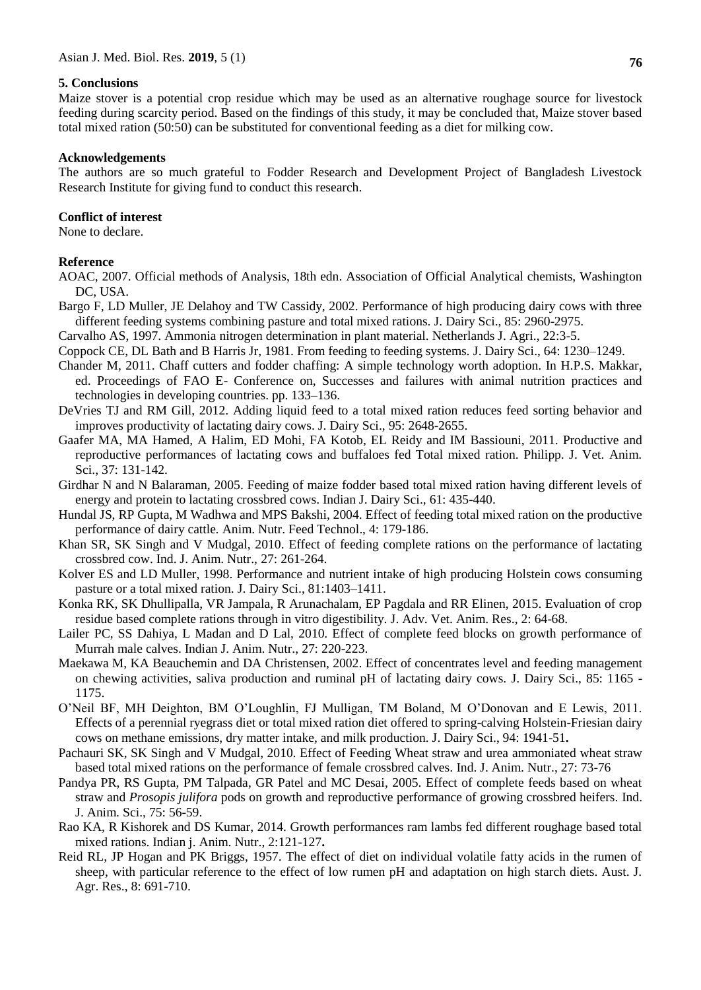### **5. Conclusions**

Maize stover is a potential crop residue which may be used as an alternative roughage source for livestock feeding during scarcity period. Based on the findings of this study, it may be concluded that, Maize stover based total mixed ration (50:50) can be substituted for conventional feeding as a diet for milking cow.

#### **Acknowledgements**

The authors are so much grateful to Fodder Research and Development Project of Bangladesh Livestock Research Institute for giving fund to conduct this research.

### **Conflict of interest**

None to declare.

### **Reference**

- AOAC, 2007. Official methods of Analysis, 18th edn. Association of Official Analytical chemists, Washington DC, USA.
- Bargo F, LD Muller, JE Delahoy and TW Cassidy, 2002. Performance of high producing dairy cows with three different feeding systems combining pasture and total mixed rations. J. Dairy Sci., 85: 2960-2975.
- Carvalho AS, 1997. Ammonia nitrogen determination in plant material. Netherlands J. Agri., 22:3-5.
- Coppock CE, DL Bath and B Harris Jr, 1981. From feeding to feeding systems*.* J. Dairy Sci., 64: 1230–1249.
- Chander M, 2011. Chaff cutters and fodder chaffing: A simple technology worth adoption. In H.P.S. Makkar, ed. Proceedings of FAO E- Conference on, Successes and failures with animal nutrition practices and technologies in developing countries. pp. 133–136.
- DeVries TJ and RM Gill, 2012. Adding liquid feed to a total mixed ration reduces feed sorting behavior and improves productivity of lactating dairy cows. J. Dairy Sci., 95: 2648-2655.
- Gaafer MA, MA Hamed, A Halim, ED Mohi, FA Kotob, EL Reidy and IM Bassiouni, 2011. Productive and reproductive performances of lactating cows and buffaloes fed Total mixed ration. Philipp. J. Vet. Anim. Sci., 37: 131-142.
- Girdhar N and N Balaraman, 2005. Feeding of maize fodder based total mixed ration having different levels of energy and protein to lactating crossbred cows. Indian J. Dairy Sci., 61: 435-440.
- Hundal JS, RP Gupta, M Wadhwa and MPS Bakshi, 2004. Effect of feeding total mixed ration on the productive performance of dairy cattle*.* Anim. Nutr. Feed Technol., 4: 179-186.
- Khan SR, SK Singh and V Mudgal, 2010. Effect of feeding complete rations on the performance of lactating crossbred cow. Ind. J. Anim. Nutr., 27: 261-264.
- Kolver ES and LD Muller, 1998. Performance and nutrient intake of high producing Holstein cows consuming pasture or a total mixed ration. J. Dairy Sci., 81:1403–1411.
- Konka RK, SK Dhullipalla, VR Jampala, R Arunachalam, EP Pagdala and RR Elinen, 2015. Evaluation of crop residue based complete rations through in vitro digestibility. J. Adv. Vet. Anim. Res., 2: 64-68.
- Lailer PC, SS Dahiya, L Madan and D Lal, 2010. Effect of complete feed blocks on growth performance of Murrah male calves. Indian J. Anim. Nutr., 27: 220-223.
- Maekawa M, KA Beauchemin and DA Christensen, 2002. Effect of concentrates level and feeding management on chewing activities, saliva production and ruminal pH of lactating dairy cows. J. Dairy Sci., 85: 1165 - 1175.
- O'Neil BF, MH Deighton, BM O'Loughlin, FJ Mulligan, TM Boland, M O'Donovan and E Lewis, 2011. Effects of a perennial ryegrass diet or total mixed ration diet offered to spring-calving Holstein-Friesian dairy cows on methane emissions, dry matter intake, and milk production. J. Dairy Sci., 94: 1941-51**.**
- Pachauri SK, SK Singh and V Mudgal, 2010. Effect of Feeding Wheat straw and urea ammoniated wheat straw based total mixed rations on the performance of female crossbred calves*.* Ind. J. Anim. Nutr., 27: 73-76
- Pandya PR, RS Gupta, PM Talpada, GR Patel and MC Desai, 2005. Effect of complete feeds based on wheat straw and *Prosopis julifora* pods on growth and reproductive performance of growing crossbred heifers. Ind. J. Anim. Sci., 75: 56-59.
- Rao KA, R Kishorek and DS Kumar, 2014. Growth performances ram lambs fed different roughage based total mixed rations. Indian j. Anim. Nutr., 2:121-127**.**
- Reid RL, JP Hogan and PK Briggs, 1957. The effect of diet on individual volatile fatty acids in the rumen of sheep, with particular reference to the effect of low rumen pH and adaptation on high starch diets. Aust. J. Agr. Res., 8: 691-710.